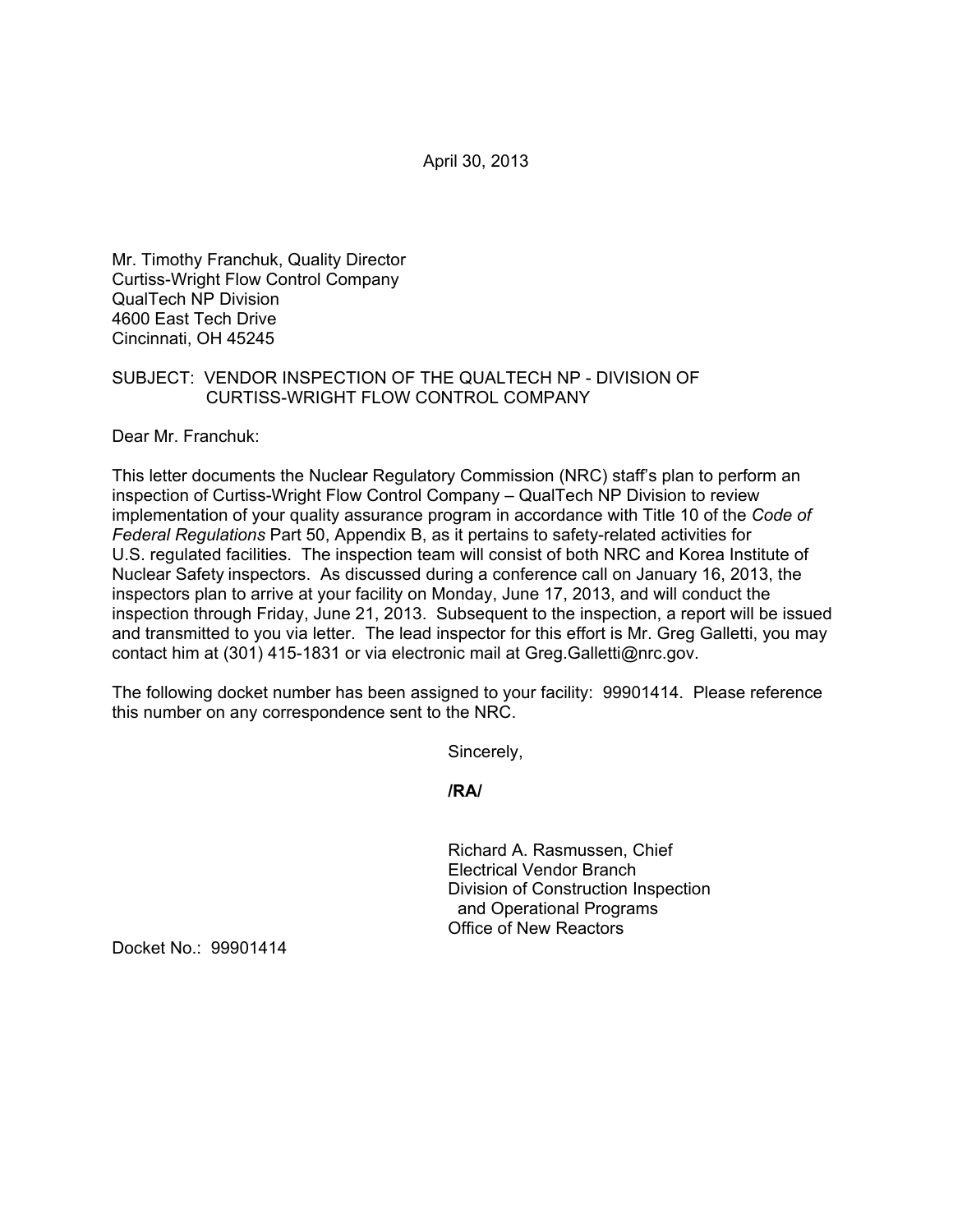April 30, 2013

Mr. Timothy Franchuk, Quality Director Curtiss-Wright Flow Control Company QualTech NP Division 4600 East Tech Drive Cincinnati, OH 45245

## SUBJECT: VENDOR INSPECTION OF THE QUALTECH NP - DIVISION OF CURTISS-WRIGHT FLOW CONTROL COMPANY

Dear Mr. Franchuk:

This letter documents the Nuclear Regulatory Commission (NRC) staff's plan to perform an inspection of Curtiss-Wright Flow Control Company – QualTech NP Division to review implementation of your quality assurance program in accordance with Title 10 of the *Code of Federal Regulations* Part 50, Appendix B, as it pertains to safety-related activities for U.S. regulated facilities. The inspection team will consist of both NRC and Korea Institute of Nuclear Safety inspectors. As discussed during a conference call on January 16, 2013, the inspectors plan to arrive at your facility on Monday, June 17, 2013, and will conduct the inspection through Friday, June 21, 2013. Subsequent to the inspection, a report will be issued and transmitted to you via letter. The lead inspector for this effort is Mr. Greg Galletti, you may contact him at (301) 415-1831 or via electronic mail at Greg.Galletti@nrc.gov.

The following docket number has been assigned to your facility: 99901414. Please reference this number on any correspondence sent to the NRC.

Sincerely,

**/RA/** 

Richard A. Rasmussen, Chief Electrical Vendor Branch Division of Construction Inspection and Operational Programs Office of New Reactors

Docket No.: 99901414